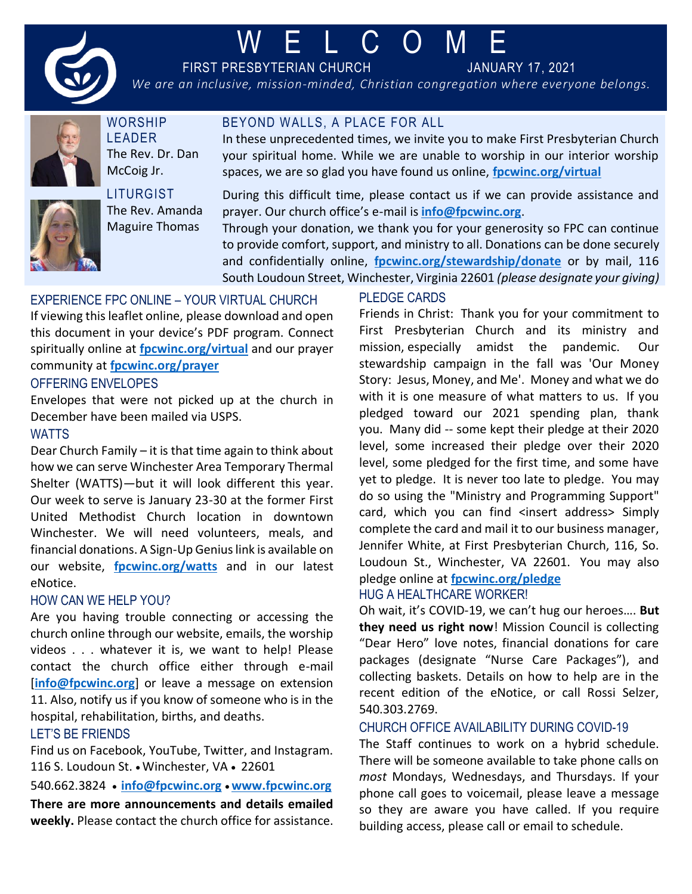

# W E L C O M E

BEYOND WALLS, A PLACE FOR ALL

FIRST PRESBYTERIAN CHURCH JANUARY 17, 2021

*We are an inclusive, mission-minded, Christian congregation where everyone belongs.*



**WORSHIP** LEADER The Rev. Dr. Dan McCoig Jr.



**LITURGIST** The Rev. Amanda Maguire Thomas

During this difficult time, please contact us if we can provide assistance and prayer. Our church office's e-mail is **[info@fpcwinc.org](mailto:info@fpcwinc.org)**.

In these unprecedented times, we invite you to make First Presbyterian Church your spiritual home. While we are unable to worship in our interior worship

Through your donation, we thank you for your generosity so FPC can continue to provide comfort, support, and ministry to all. Donations can be done securely and confidentially online, **[fpcwinc.org/stewardship/donate](https://www.fpcwinc.org/stewardship/donate)** or by mail, 116 South Loudoun Street, Winchester, Virginia 22601 *(please designate your giving)*

# EXPERIENCE FPC ONLINE – YOUR VIRTUAL CHURCH

If viewing this leaflet online, please download and open this document in your device's PDF program. Connect spiritually online at **[fpcwinc.org/virtual](https://www.fpcwinc.org/virtual)** and our prayer community at **[fpcwinc.org/prayer](https://fpcwinc.org/ministries/prayer/)**

#### OFFERING ENVELOPES

Envelopes that were not picked up at the church in December have been mailed via USPS.

#### **WATTS**

Dear Church Family – it is that time again to think about how we can serve Winchester Area Temporary Thermal Shelter (WATTS)—but it will look different this year. Our week to serve is January 23-30 at the former First United Methodist Church location in downtown Winchester. We will need volunteers, meals, and financial donations. A Sign-Up Genius link is available on our website, **[fpcwinc.org/watts](https://www.fpcwinc.org/watts)** and in our latest eNotice.

# HOW CAN WE HELP YOU?

Are you having trouble connecting or accessing the church online through our website, emails, the worship videos . . . whatever it is, we want to help! Please contact the church office either through e-mail [[info@fpcwinc.org](mailto:info@fpcwinc.org)] or leave a message on extension 11. Also, notify us if you know of someone who is in the hospital, rehabilitation, births, and deaths.

# LET'S BE FRIENDS

Find us on Facebook, YouTube, Twitter, and Instagram. 116 S. Loudoun St. • Winchester, VA • 22601

540.662.3824 • **[info@fpcwinc.org](mailto:info@fpcwinc.org)** • **[www.fpcwinc.org](http://www.fpcwinc.org/) There are more announcements and details emailed weekly.** Please contact the church office for assistance.

# PLEDGE CARDS

spaces, we are so glad you have found us online, **[fpcwinc.org/virtual](https://www.fpcwinc.org/virtual)**

Friends in Christ: Thank you for your commitment to First Presbyterian Church and its ministry and mission, especially amidst the pandemic. Our stewardship campaign in the fall was 'Our Money Story: Jesus, Money, and Me'. Money and what we do with it is one measure of what matters to us. If you pledged toward our 2021 spending plan, thank you. Many did -- some kept their pledge at their 2020 level, some increased their pledge over their 2020 level, some pledged for the first time, and some have yet to pledge. It is never too late to pledge. You may do so using the "Ministry and Programming Support" card, which you can find <insert address> Simply complete the card and mail it to our business manager, Jennifer White, at First Presbyterian Church, 116, So. Loudoun St., Winchester, VA 22601. You may also pledge online at **[fpcwinc.org/pledge](https://fpcwinc.org/pledge/)**

#### HUG A HEALTHCARE WORKER!

Oh wait, it's COVID-19, we can't hug our heroes…. **But they need us right now**! Mission Council is collecting "Dear Hero" love notes, financial donations for care packages (designate "Nurse Care Packages"), and collecting baskets. Details on how to help are in the recent edition of the eNotice, or call Rossi Selzer, 540.303.2769.

# CHURCH OFFICE AVAILABILITY DURING COVID-19

The Staff continues to work on a hybrid schedule. There will be someone available to take phone calls on *most* Mondays, Wednesdays, and Thursdays. If your phone call goes to voicemail, please leave a message so they are aware you have called. If you require building access, please call or email to schedule.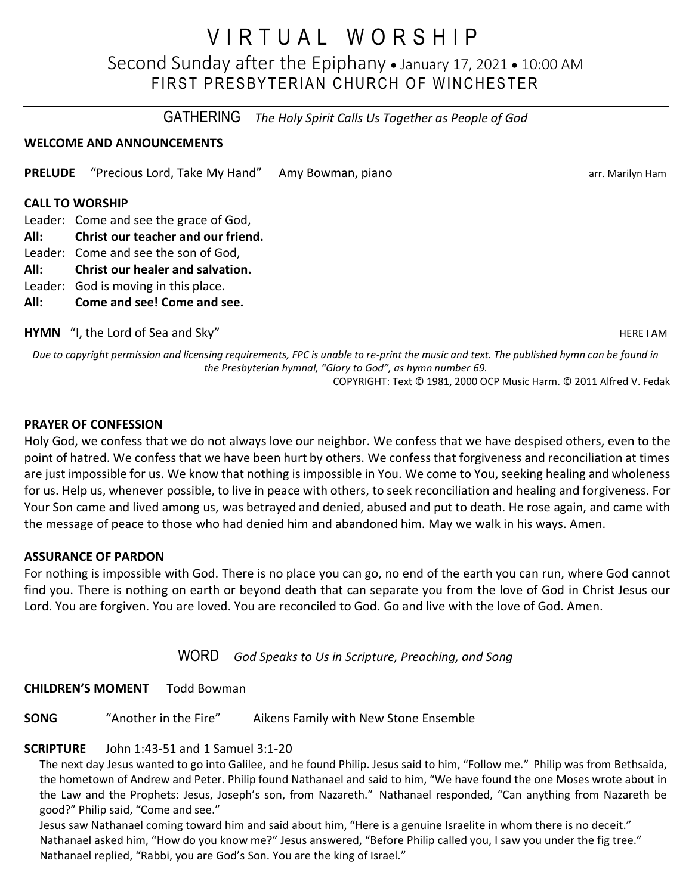# V I R T U A L W O R S H I P

Second Sunday after the Epiphany • January 17, 2021 • 10:00 AM FIRST PRESBYTERIAN CHURCH OF WINCHESTER

GATHERING *The Holy Spirit Calls Us Together as People of God*

#### **WELCOME AND ANNOUNCEMENTS**

**PRELUDE** "Precious Lord, Take My Hand" Amy Bowman, piano array array arr. Marilyn Ham

#### **CALL TO WORSHIP**

Leader: Come and see the grace of God,

- **All: Christ our teacher and our friend.**
- Leader: Come and see the son of God,
- **All: Christ our healer and salvation.**
- Leader: God is moving in this place.
- **All: Come and see! Come and see.**

**HYMN** "I, the Lord of Sea and Sky" **HERE I AM** HERE I AM

*Due to copyright permission and licensing requirements, FPC is unable to re-print the music and text. The published hymn can be found in the Presbyterian hymnal, "Glory to God", as hymn number 69.*

COPYRIGHT: Text © 1981, 2000 OCP Music Harm. © 2011 Alfred V. Fedak

#### **PRAYER OF CONFESSION**

Holy God, we confess that we do not always love our neighbor. We confess that we have despised others, even to the point of hatred. We confess that we have been hurt by others. We confess that forgiveness and reconciliation at times are just impossible for us. We know that nothing is impossible in You. We come to You, seeking healing and wholeness for us. Help us, whenever possible, to live in peace with others, to seek reconciliation and healing and forgiveness. For Your Son came and lived among us, was betrayed and denied, abused and put to death. He rose again, and came with the message of peace to those who had denied him and abandoned him. May we walk in his ways. Amen.

#### **ASSURANCE OF PARDON**

For nothing is impossible with God. There is no place you can go, no end of the earth you can run, where God cannot find you. There is nothing on earth or beyond death that can separate you from the love of God in Christ Jesus our Lord. You are forgiven. You are loved. You are reconciled to God. Go and live with the love of God. Amen.

WORD *God Speaks to Us in Scripture, Preaching, and Song*

#### **CHILDREN'S MOMENT** Todd Bowman

**SONG** "Another in the Fire" Aikens Family with New Stone Ensemble

#### **SCRIPTURE** John 1:43-51 and 1 Samuel 3:1-20

The next day Jesus wanted to go into Galilee, and he found Philip. Jesus said to him, "Follow me." Philip was from Bethsaida, the hometown of Andrew and Peter. Philip found Nathanael and said to him, "We have found the one Moses wrote about in the Law and the Prophets: Jesus, Joseph's son, from Nazareth." Nathanael responded, "Can anything from Nazareth be good?" Philip said, "Come and see."

Jesus saw Nathanael coming toward him and said about him, "Here is a genuine Israelite in whom there is no deceit." Nathanael asked him, "How do you know me?" Jesus answered, "Before Philip called you, I saw you under the fig tree." Nathanael replied, "Rabbi, you are God's Son. You are the king of Israel."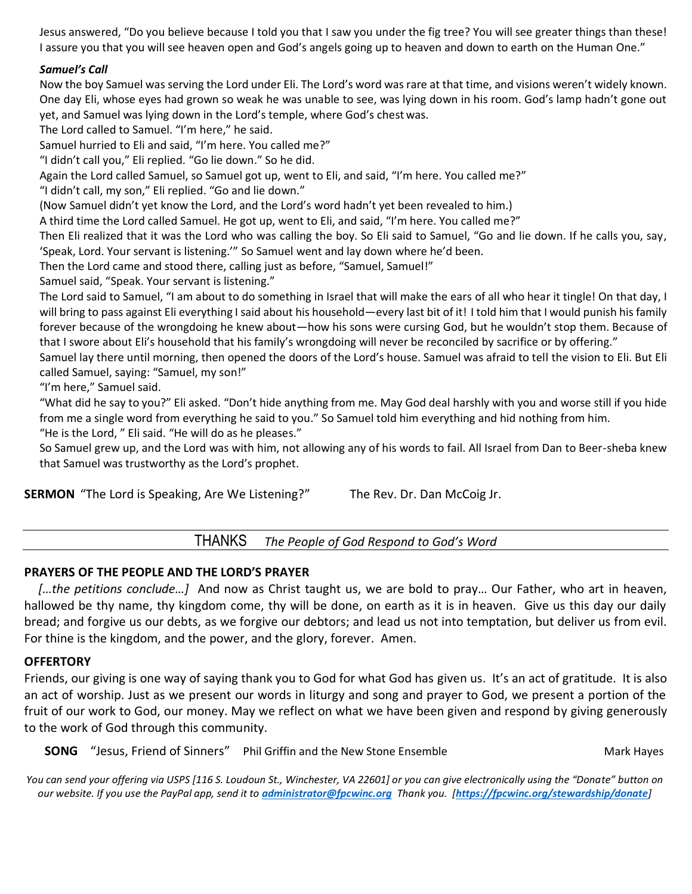Jesus answered, "Do you believe because I told you that I saw you under the fig tree? You will see greater things than these! I assure you that you will see heaven open and God's angels going up to heaven and down to earth on the Human One."

#### *Samuel's Call*

Now the boy Samuel was serving the Lord under Eli. The Lord's word was rare at that time, and visions weren't widely known. One day Eli, whose eyes had grown so weak he was unable to see, was lying down in his room. God's lamp hadn't gone out yet, and Samuel was lying down in the Lord's temple, where God's chestwas.

The Lord called to Samuel. "I'm here," he said.

Samuel hurried to Eli and said, "I'm here. You called me?"

"I didn't call you," Eli replied. "Go lie down." So he did.

Again the Lord called Samuel, so Samuel got up, went to Eli, and said, "I'm here. You called me?"

"I didn't call, my son," Eli replied. "Go and lie down."

(Now Samuel didn't yet know the Lord, and the Lord's word hadn't yet been revealed to him.)

A third time the Lord called Samuel. He got up, went to Eli, and said, "I'm here. You called me?"

Then Eli realized that it was the Lord who was calling the boy. So Eli said to Samuel, "Go and lie down. If he calls you, say, 'Speak, Lord. Your servant is listening.'" So Samuel went and lay down where he'd been.

Then the Lord came and stood there, calling just as before, "Samuel, Samuel!"

Samuel said, "Speak. Your servant is listening."

The Lord said to Samuel, "I am about to do something in Israel that will make the ears of all who hear it tingle! On that day, I will bring to pass against Eli everything I said about his household—every last bit of it! I told him that I would punish his family forever because of the wrongdoing he knew about—how his sons were cursing God, but he wouldn't stop them. Because of that I swore about Eli's household that his family's wrongdoing will never be reconciled by sacrifice or by offering."

Samuel lay there until morning, then opened the doors of the Lord's house. Samuel was afraid to tell the vision to Eli. But Eli called Samuel, saying: "Samuel, my son!"

"I'm here," Samuel said.

"What did he say to you?" Eli asked. "Don't hide anything from me. May God deal harshly with you and worse still if you hide from me a single word from everything he said to you." So Samuel told him everything and hid nothing from him.

"He is the Lord, " Eli said. "He will do as he pleases."

So Samuel grew up, and the Lord was with him, not allowing any of his words to fail. All Israel from Dan to Beer-sheba knew that Samuel was trustworthy as the Lord's prophet.

THANKS *The People of God Respond to God's Word*

#### **PRAYERS OF THE PEOPLE AND THE LORD'S PRAYER**

[...the petitions conclude...] And now as Christ taught us, we are bold to pray... Our Father, who art in heaven, hallowed be thy name, thy kingdom come, thy will be done, on earth as it is in heaven. Give us this day our daily bread; and forgive us our debts, as we forgive our debtors; and lead us not into temptation, but deliver us from evil. For thine is the kingdom, and the power, and the glory, forever. Amen.

#### **OFFERTORY**

Friends, our giving is one way of saying thank you to God for what God has given us. It's an act of gratitude. It is also an act of worship. Just as we present our words in liturgy and song and prayer to God, we present a portion of the fruit of our work to God, our money. May we reflect on what we have been given and respond by giving generously to the work of God through this community.

**SONG** "Jesus, Friend of Sinners" Phil Griffin and the New Stone Ensemble Manument Mark Hayes

*You can send your offering via USPS [116 S. Loudoun St., Winchester, VA 22601] or you can give electronically using the "Donate" button on our website. If you use the PayPal app, send it to [administrator@fpcwinc.org](mailto:administrator@fpcwinc.org) Thank you. [<https://fpcwinc.org/stewardship/donate>]*